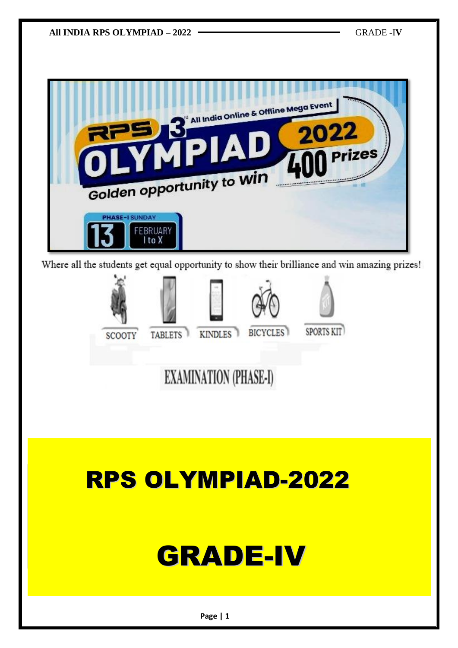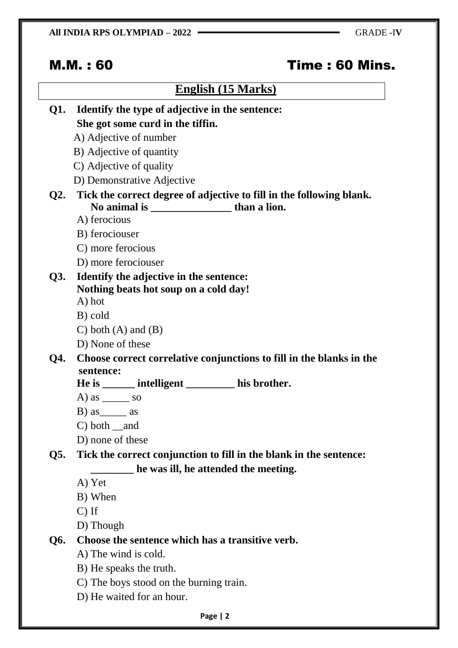# M.M. : 60 Time : 60 Mins.

## **English (15 Marks)**

| Q1. | Identify the type of adjective in the sentence:                      |
|-----|----------------------------------------------------------------------|
|     | She got some curd in the tiffin.                                     |
|     | A) Adjective of number                                               |
|     | B) Adjective of quantity                                             |
|     | C) Adjective of quality                                              |
|     | D) Demonstrative Adjective                                           |
| Q2. | Tick the correct degree of adjective to fill in the following blank. |
|     |                                                                      |
|     | A) ferocious                                                         |
|     | B) ferociouser                                                       |
|     | C) more ferocious                                                    |
|     | D) more ferociouser                                                  |
| Q3. | Identify the adjective in the sentence:                              |
|     | Nothing beats hot soup on a cold day!                                |
|     | A) hot                                                               |
|     | B) cold                                                              |
|     | C) both $(A)$ and $(B)$                                              |
|     | D) None of these                                                     |
| Q4. | Choose correct correlative conjunctions to fill in the blanks in the |
|     | sentence:<br>He is _______ intelligent ___________ his brother.      |
|     | A) as $\_\_\_\_\$ so                                                 |
|     | $B)$ as $\_\_\_\$ as                                                 |
|     | $C)$ both $\_$ and                                                   |
|     | D) none of these                                                     |
| Q5. | Tick the correct conjunction to fill in the blank in the sentence:   |
|     | he was ill, he attended the meeting.                                 |
|     | A) Yet                                                               |
|     | B) When                                                              |
|     | $C)$ If                                                              |
|     | D) Though                                                            |
| Q6. | Choose the sentence which has a transitive verb.                     |
|     | A) The wind is cold.                                                 |
|     |                                                                      |

- B) He speaks the truth.
- C) The boys stood on the burning train.
- D) He waited for an hour.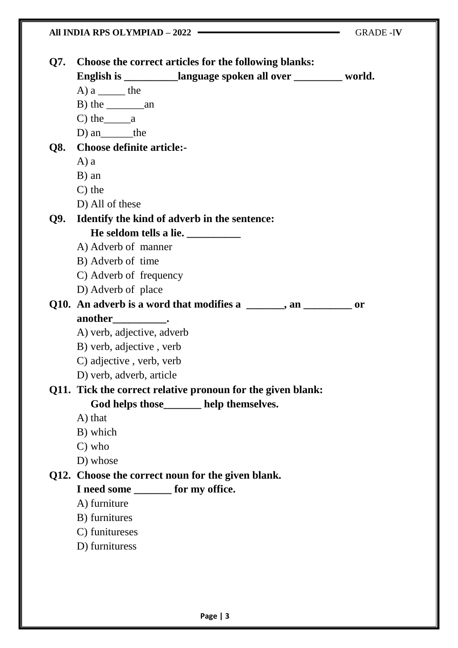#### All INDIA RPS OLYMPIAD – 2022 – GRADE -IV

| Q7. | Choose the correct articles for the following blanks:             |           |
|-----|-------------------------------------------------------------------|-----------|
|     | English is ____________language spoken all over __________ world. |           |
|     | A) $a \underline{\hspace{1cm}}$ the                               |           |
|     |                                                                   |           |
|     | $C)$ the $a$                                                      |           |
|     | D) an________the                                                  |           |
|     | Q8. Choose definite article:-                                     |           |
|     | $A$ ) a                                                           |           |
|     | B) an                                                             |           |
|     | $C$ ) the                                                         |           |
|     | D) All of these                                                   |           |
| Q9. | Identify the kind of adverb in the sentence:                      |           |
|     | He seldom tells a lie. ___________                                |           |
|     | A) Adverb of manner                                               |           |
|     | B) Adverb of time                                                 |           |
|     | C) Adverb of frequency                                            |           |
|     | D) Adverb of place                                                |           |
|     | Q10. An adverb is a word that modifies a _____, an ______         | <b>or</b> |
|     | another_______________.                                           |           |
|     | A) verb, adjective, adverb                                        |           |
|     | B) verb, adjective, verb                                          |           |
|     | C) adjective, verb, verb                                          |           |
|     | D) verb, adverb, article                                          |           |
|     | Q11. Tick the correct relative pronoun for the given blank:       |           |
|     | God helps those_______ help themselves.                           |           |
|     | A) that                                                           |           |
|     | B) which                                                          |           |
|     | $C)$ who                                                          |           |
|     | D) whose                                                          |           |
|     | Q12. Choose the correct noun for the given blank.                 |           |
|     | I need some ________ for my office.                               |           |
|     | A) furniture                                                      |           |
|     | B) furnitures                                                     |           |
|     | C) funitureses                                                    |           |
|     | D) furnituress                                                    |           |
|     |                                                                   |           |
|     |                                                                   |           |
|     |                                                                   |           |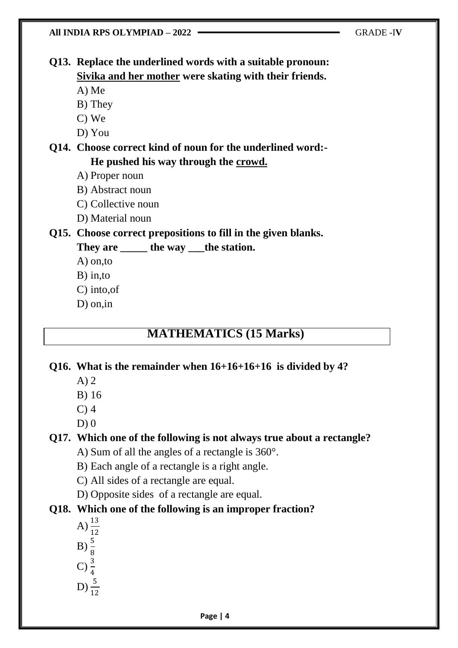**Q13. Replace the underlined words with a suitable pronoun: Sivika and her mother were skating with their friends.**

A) Me

- B) They
- C) We
- D) You

**Q14. Choose correct kind of noun for the underlined word:- He pushed his way through the crowd.**

- A) Proper noun
- B) Abstract noun
- C) Collective noun
- D) Material noun

## **Q15. Choose correct prepositions to fill in the given blanks.**

**They are \_\_\_\_\_ the way \_\_\_the station.**

- A) on,to
- B) in,to
- C) into,of
- D) on,in

## **MATHEMATICS (15 Marks)**

#### **Q16. What is the remainder when 16+16+16+16 is divided by 4?**

- A) 2
- B) 16
- C) 4
- $D(0)$

## **Q17. Which one of the following is not always true about a rectangle?**

- A) Sum of all the angles of a rectangle is 360°.
- B) Each angle of a rectangle is a right angle.
- C) All sides of a rectangle are equal.
- D) Opposite sides of a rectangle are equal.

### **Q18. Which one of the following is an improper fraction?**

- A)  $\frac{13}{12}$  $B) \frac{5}{8}$
- 
- C)  $\frac{3}{4}$
- D)  $\frac{5}{12}$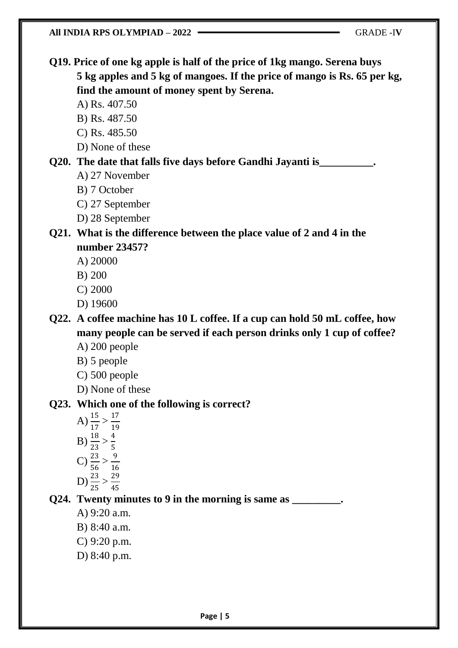A) 27 November

B) 7 October

A) Rs. 407.50 B) Rs. 487.50 C) Rs. 485.50

C) 27 September

D) None of these

D) 28 September

**Q21. What is the difference between the place value of 2 and 4 in the number 23457?**

**Q19. Price of one kg apple is half of the price of 1kg mango. Serena buys** 

**find the amount of money spent by Serena.**

**Q20. The date that falls five days before Gandhi Jayanti is\_\_\_\_\_\_\_\_\_\_.**

**5 kg apples and 5 kg of mangoes. If the price of mango is Rs. 65 per kg,** 

- A) 20000
- B) 200
- C) 2000
- D) 19600

**Q22. A coffee machine has 10 L coffee. If a cup can hold 50 mL coffee, how many people can be served if each person drinks only 1 cup of coffee?** A) 200 people

- B) 5 people
- C) 500 people
- 

D) None of these

#### **Q23. Which one of the following is correct?**

A)  $\frac{15}{17} > \frac{17}{19}$ 19 B)  $\frac{18}{23} > \frac{4}{5}$ 5 C)  $\frac{23}{56} > \frac{9}{16}$ 16 D)  $\frac{23}{25} > \frac{29}{45}$ 45

**Q24. Twenty minutes to 9 in the morning is same as \_\_\_\_\_\_\_\_\_.**

A) 9:20 a.m.

- B) 8:40 a.m.
- C) 9:20 p.m.
- D) 8:40 p.m.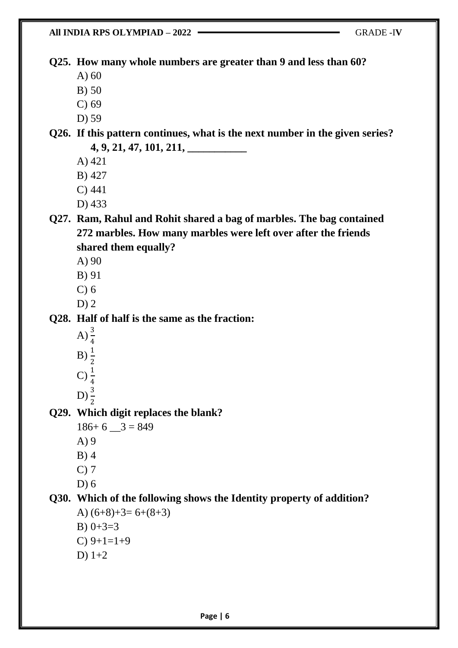**All INDIA RPS OLYMPIAD – 2022** GRADE -I**V Q25. How many whole numbers are greater than 9 and less than 60?** A) 60 B) 50 C) 69 D) 59 **Q26. If this pattern continues, what is the next number in the given series? 4, 9, 21, 47, 101, 211, \_\_\_\_\_\_\_\_\_\_\_** A) 421 B) 427 C) 441 D) 433 **Q27. Ram, Rahul and Rohit shared a bag of marbles. The bag contained 272 marbles. How many marbles were left over after the friends shared them equally?** A) 90 B) 91 C) 6 D) 2 **Q28. Half of half is the same as the fraction:** A)  $\frac{3}{4}$  $B) \frac{1}{2}$  $\rm C) \, \frac{1}{4}$  $D) \frac{3}{2}$ **Q29. Which digit replaces the blank?**  $186+ 6 \_ 3 = 849$ A) 9 B) 4 C) 7 D) 6 **Q30. Which of the following shows the Identity property of addition?** A)  $(6+8)+3=6+(8+3)$ B)  $0+3=3$  $C$ )  $9+1=1+9$ D) 1+2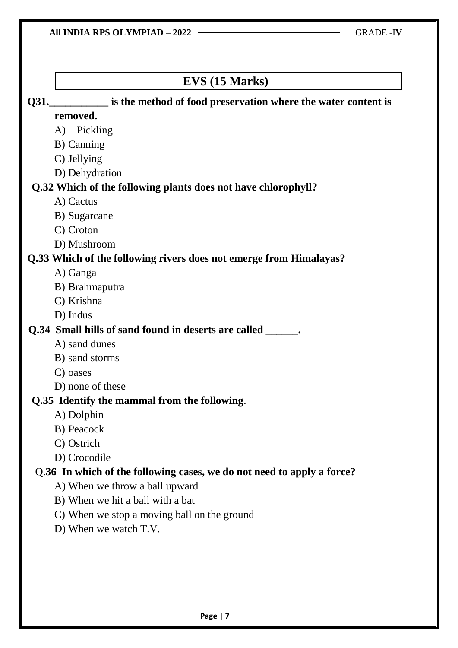## **EVS (15 Marks) Q31.** is the method of food preservation where the water content is **removed.** A) Pickling B) Canning C) Jellying D) Dehydration **Q.32 Which of the following plants does not have chlorophyll?** A) Cactus B) Sugarcane C) Croton D) Mushroom **Q.33 Which of the following rivers does not emerge from Himalayas?** A) Ganga B) Brahmaputra C) Krishna D) Indus **Q.34 Small hills of sand found in deserts are called \_\_\_\_\_\_.** A) sand dunes B) sand storms C) oases D) none of these **Q.35 Identify the mammal from the following**. A) Dolphin B) Peacock C) Ostrich D) Crocodile Q.**36 In which of the following cases, we do not need to apply a force?** A) When we throw a ball upward B) When we hit a ball with a bat C) When we stop a moving ball on the ground D) When we watch T.V.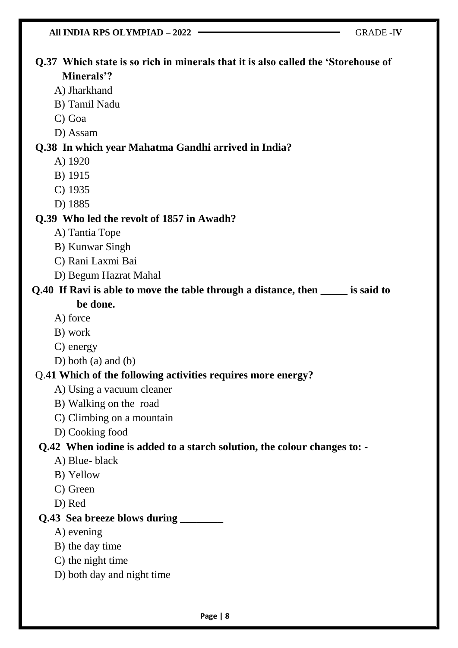| All INDIA RPS OLYMPIAD - 2022                                                                   | <b>GRADE-IV</b> |  |  |  |
|-------------------------------------------------------------------------------------------------|-----------------|--|--|--|
| Q.37 Which state is so rich in minerals that it is also called the 'Storehouse of<br>Minerals'? |                 |  |  |  |
| A) Jharkhand                                                                                    |                 |  |  |  |
| B) Tamil Nadu                                                                                   |                 |  |  |  |
| C) Goa                                                                                          |                 |  |  |  |
| D) Assam                                                                                        |                 |  |  |  |
| Q.38 In which year Mahatma Gandhi arrived in India?                                             |                 |  |  |  |
| A) 1920                                                                                         |                 |  |  |  |
| B) 1915                                                                                         |                 |  |  |  |
| $C)$ 1935                                                                                       |                 |  |  |  |
| D) 1885                                                                                         |                 |  |  |  |
| Q.39 Who led the revolt of 1857 in Awadh?                                                       |                 |  |  |  |
| A) Tantia Tope                                                                                  |                 |  |  |  |
| B) Kunwar Singh                                                                                 |                 |  |  |  |
| C) Rani Laxmi Bai                                                                               |                 |  |  |  |
| D) Begum Hazrat Mahal                                                                           |                 |  |  |  |
| Q.40 If Ravi is able to move the table through a distance, then _____ is said to                |                 |  |  |  |
| be done.                                                                                        |                 |  |  |  |
| A) force                                                                                        |                 |  |  |  |
| B) work                                                                                         |                 |  |  |  |
| C) energy                                                                                       |                 |  |  |  |
| D) both (a) and (b)                                                                             |                 |  |  |  |
| Q.41 Which of the following activities requires more energy?                                    |                 |  |  |  |
| A) Using a vacuum cleaner                                                                       |                 |  |  |  |
| B) Walking on the road                                                                          |                 |  |  |  |
| C) Climbing on a mountain                                                                       |                 |  |  |  |
| D) Cooking food                                                                                 |                 |  |  |  |
| Q.42 When iodine is added to a starch solution, the colour changes to: -                        |                 |  |  |  |
| A) Blue-black                                                                                   |                 |  |  |  |
| B) Yellow                                                                                       |                 |  |  |  |
| C) Green                                                                                        |                 |  |  |  |
| D) Red                                                                                          |                 |  |  |  |
| Q.43 Sea breeze blows during ______                                                             |                 |  |  |  |
| A) evening                                                                                      |                 |  |  |  |
| B) the day time                                                                                 |                 |  |  |  |
| C) the night time                                                                               |                 |  |  |  |
| D) both day and night time                                                                      |                 |  |  |  |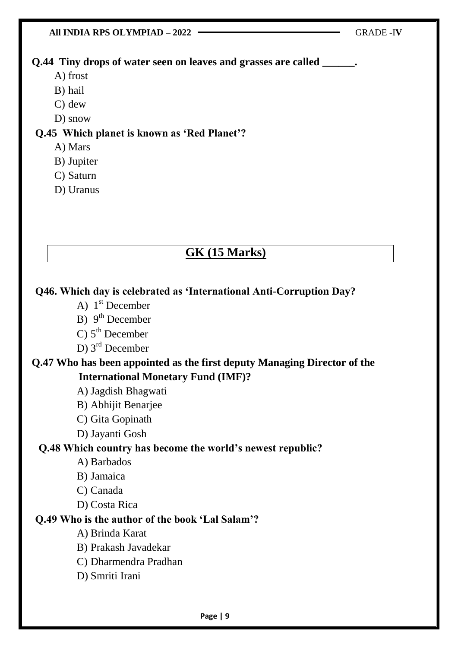

#### **Q.49 Who is the author of the book 'Lal Salam'?**

- A) Brinda Karat
- B) Prakash Javadekar
- C) Dharmendra Pradhan
- D) Smriti Irani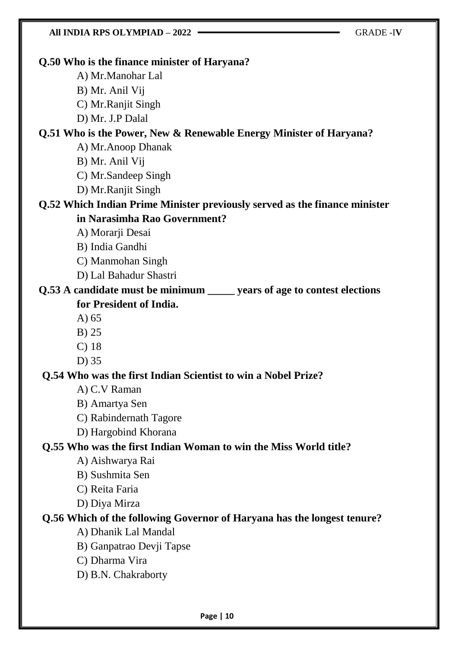